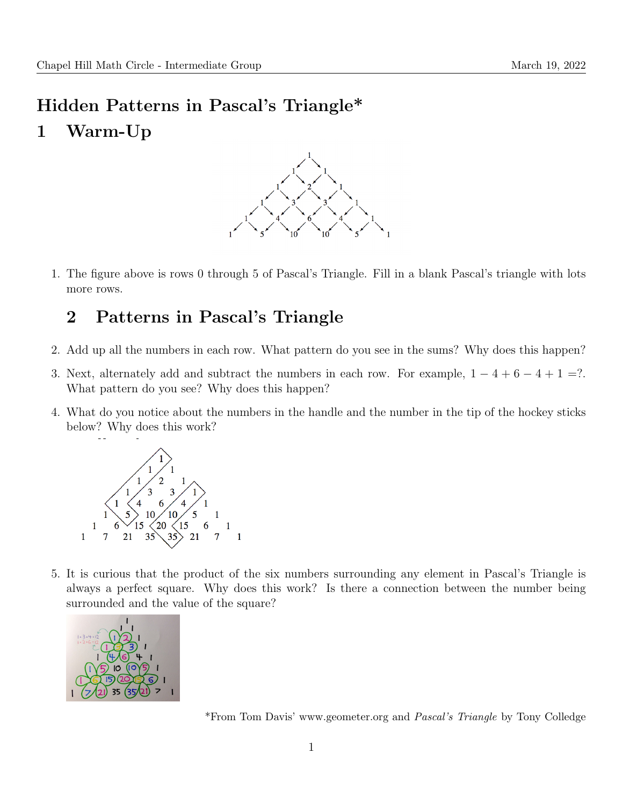# Hidden Patterns in Pascal's Triangle\* 1 Warm-Up



1. The figure above is rows 0 through 5 of Pascal's Triangle. Fill in a blank Pascal's triangle with lots more rows.

### 2 Patterns in Pascal's Triangle

- 2. Add up all the numbers in each row. What pattern do you see in the sums? Why does this happen?
- 3. Next, alternately add and subtract the numbers in each row. For example,  $1 4 + 6 4 + 1 = ?$ . What pattern do you see? Why does this happen?
- 4. What do you notice about the numbers in the handle and the number in the tip of the hockey sticks below? Why does this work?



5. It is curious that the product of the six numbers surrounding any element in Pascal's Triangle is always a perfect square. Why does this work? Is there a connection between the number being surrounded and the value of the square?



\*From Tom Davis' www.geometer.org and Pascal's Triangle by Tony Colledge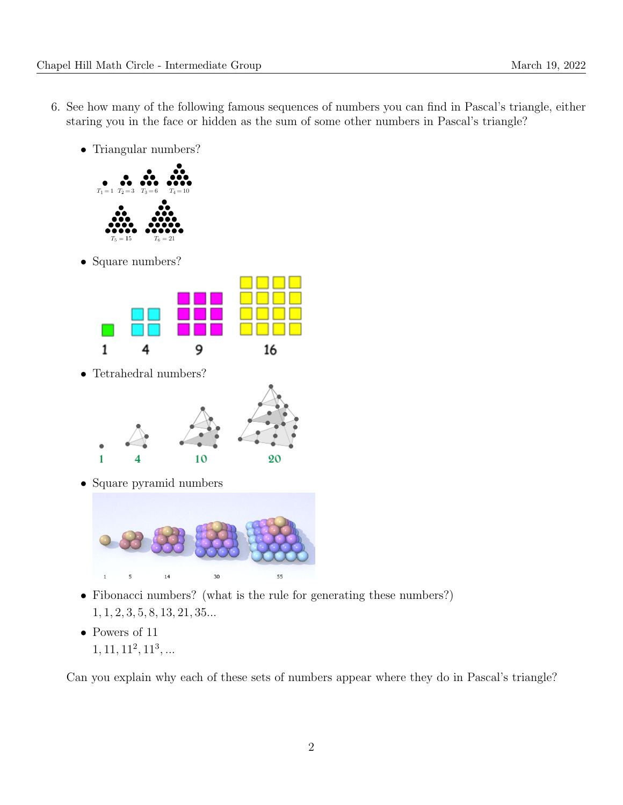- 6. See how many of the following famous sequences of numbers you can find in Pascal's triangle, either staring you in the face or hidden as the sum of some other numbers in Pascal's triangle?
	- Triangular numbers?



• Square numbers?



• Tetrahedral numbers?



• Square pyramid numbers



- Fibonacci numbers? (what is the rule for generating these numbers?) 1, 1, 2, 3, 5, 8, 13, 21, 35...
- Powers of 11
	- $1, 11, 11<sup>2</sup>, 11<sup>3</sup>, ...$

Can you explain why each of these sets of numbers appear where they do in Pascal's triangle?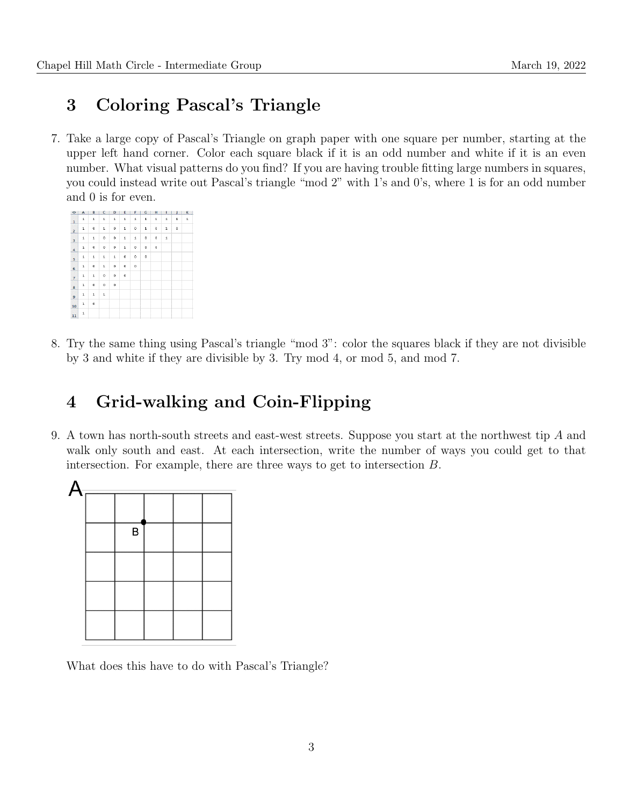## 3 Coloring Pascal's Triangle

7. Take a large copy of Pascal's Triangle on graph paper with one square per number, starting at the upper left hand corner. Color each square black if it is an odd number and white if it is an even number. What visual patterns do you find? If you are having trouble fitting large numbers in squares, you could instead write out Pascal's triangle "mod 2" with 1's and 0's, where 1 is for an odd number and 0 is for even.

| $\Diamond$              | $\mathsf{A}$ | B           | $\mathsf{C}$ | D            | E            | F       | G<br>×.      | н           | T           | $\mathbf{J}$ | κ |
|-------------------------|--------------|-------------|--------------|--------------|--------------|---------|--------------|-------------|-------------|--------------|---|
| $\mathbf 1$             | $\mathbf 1$  | 1           | 1            | 1            | $\mathbf 1$  | 1       | $\mathbf{1}$ | $\mathbf 1$ | $\mathbf 1$ | $\mathbf 1$  | 1 |
| $\overline{a}$          | $\mathbf 1$  | $\bf 0$     | 1            | o            | $\mathbf 1$  | $\circ$ | $\mathbf 1$  | $\mathbf 0$ | $\mathbf 1$ | $\bf 0$      |   |
| $\overline{\mathbf{3}}$ | 1            | 1           | $\bf{0}$     | $\bf{0}$     | 1            | 1       | o            | $\circ$     | $\mathbf 1$ |              |   |
| 4                       | $\mathbf 1$  | $\mathbf 0$ | $\bf{0}$     | $\mathbf{o}$ | $\mathbf{1}$ | $\circ$ | $\circ$      | $\mathbf 0$ |             |              |   |
| 5                       | $\mathbf{1}$ | ī.          | 1            | 1            | o            | o       | ٥            |             |             |              |   |
| 6                       | $\mathbf 1$  | 0           | 1            | o            | o            | o       |              |             |             |              |   |
| $\overline{7}$          | $\mathbf 1$  | 1           | 0            | $\mathbf 0$  | 0            |         |              |             |             |              |   |
| 8                       | 1            | 0           | $\bf{0}$     | $\bf{0}$     |              |         |              |             |             |              |   |
| 9                       | $\mathbf 1$  | ı           | 1            |              |              |         |              |             |             |              |   |
| 10                      | $\mathbf 1$  | 0           |              |              |              |         |              |             |             |              |   |
| $11\,$                  | $\mathbf 1$  |             |              |              |              |         |              |             |             |              |   |

8. Try the same thing using Pascal's triangle "mod 3": color the squares black if they are not divisible by 3 and white if they are divisible by 3. Try mod 4, or mod 5, and mod 7.

## 4 Grid-walking and Coin-Flipping

9. A town has north-south streets and east-west streets. Suppose you start at the northwest tip A and walk only south and east. At each intersection, write the number of ways you could get to that intersection. For example, there are three ways to get to intersection B.



What does this have to do with Pascal's Triangle?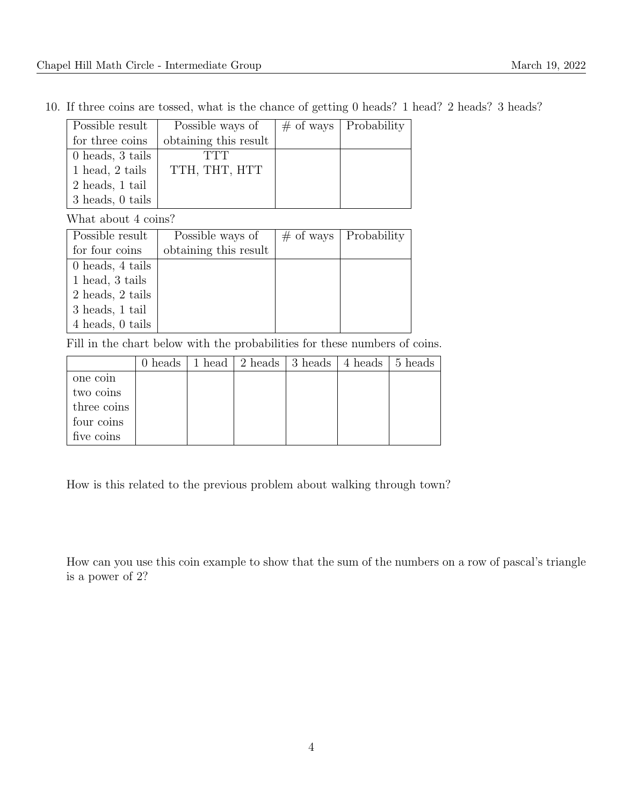10. If three coins are tossed, what is the chance of getting 0 heads? 1 head? 2 heads? 3 heads?

| Possible result  | Possible ways of      | $\#$ of ways   Probability |
|------------------|-----------------------|----------------------------|
| for three coins  | obtaining this result |                            |
| 0 heads, 3 tails | TTT                   |                            |
| 1 head, 2 tails  | TTH, THT, HTT         |                            |
| 2 heads, 1 tail  |                       |                            |
| 3 heads, 0 tails |                       |                            |

What about 4 coins?

| Possible result  | Possible ways of      | $\#$ of ways   Probability |
|------------------|-----------------------|----------------------------|
| for four coins   | obtaining this result |                            |
| 0 heads, 4 tails |                       |                            |
| 1 head, 3 tails  |                       |                            |
| 2 heads, 2 tails |                       |                            |
| 3 heads, 1 tail  |                       |                            |
| 4 heads, 0 tails |                       |                            |

Fill in the chart below with the probabilities for these numbers of coins.

|             | 0 heads | 1 head 2 heads 3 heads 4 heads 5 heads |  |  |
|-------------|---------|----------------------------------------|--|--|
| one coin    |         |                                        |  |  |
| two coins   |         |                                        |  |  |
| three coins |         |                                        |  |  |
| four coins  |         |                                        |  |  |
| five coins  |         |                                        |  |  |

How is this related to the previous problem about walking through town?

How can you use this coin example to show that the sum of the numbers on a row of pascal's triangle is a power of 2?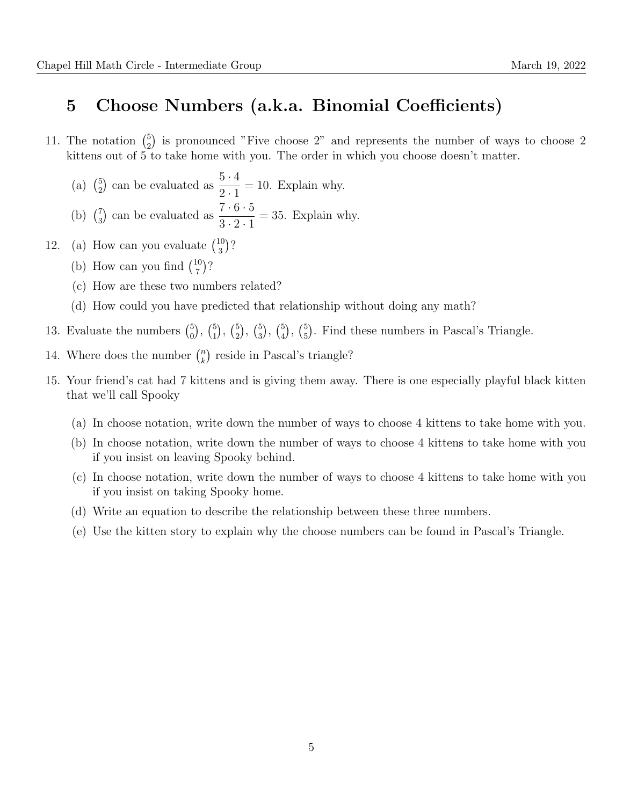#### 5 Choose Numbers (a.k.a. Binomial Coefficients)

- 11. The notation  $\binom{5}{2}$  $_2^5$ ) is pronounced "Five choose 2" and represents the number of ways to choose 2 kittens out of 5 to take home with you. The order in which you choose doesn't matter.
	- $(a)$   $\binom{5}{2}$  $\binom{5}{2}$  can be evaluated as  $\frac{5 \cdot 4}{2 \cdot 1}$  $2 \cdot 1$  $= 10$ . Explain why. (b)  $\binom{7}{3}$  $\binom{7}{3}$  can be evaluated as  $\frac{7 \cdot 6 \cdot 5}{3 \cdot 2 \cdot 1}$  $3 \cdot 2 \cdot 1$  $= 35$ . Explain why.
- 12. (a) How can you evaluate  $\binom{10}{3}$  $\binom{10}{3}$ ?
	- (b) How can you find  $\binom{10}{7}$  $\binom{10}{7}$ ?
	- (c) How are these two numbers related?
	- (d) How could you have predicted that relationship without doing any math?
- 13. Evaluate the numbers  $\binom{5}{0}$  $\binom{5}{0}$ ,  $\binom{5}{1}$  $\binom{5}{1}$ ,  $\binom{5}{2}$  $_{2}^{5}$ ,  $\binom{5}{3}$  $\binom{5}{3}$ ,  $\binom{5}{4}$  $\binom{5}{4}$ ,  $\binom{5}{5}$  $_{5}^{5}$ ). Find these numbers in Pascal's Triangle.
- 14. Where does the number  $\binom{n}{k}$  $\binom{n}{k}$  reside in Pascal's triangle?
- 15. Your friend's cat had 7 kittens and is giving them away. There is one especially playful black kitten that we'll call Spooky
	- (a) In choose notation, write down the number of ways to choose 4 kittens to take home with you.
	- (b) In choose notation, write down the number of ways to choose 4 kittens to take home with you if you insist on leaving Spooky behind.
	- (c) In choose notation, write down the number of ways to choose 4 kittens to take home with you if you insist on taking Spooky home.
	- (d) Write an equation to describe the relationship between these three numbers.
	- (e) Use the kitten story to explain why the choose numbers can be found in Pascal's Triangle.